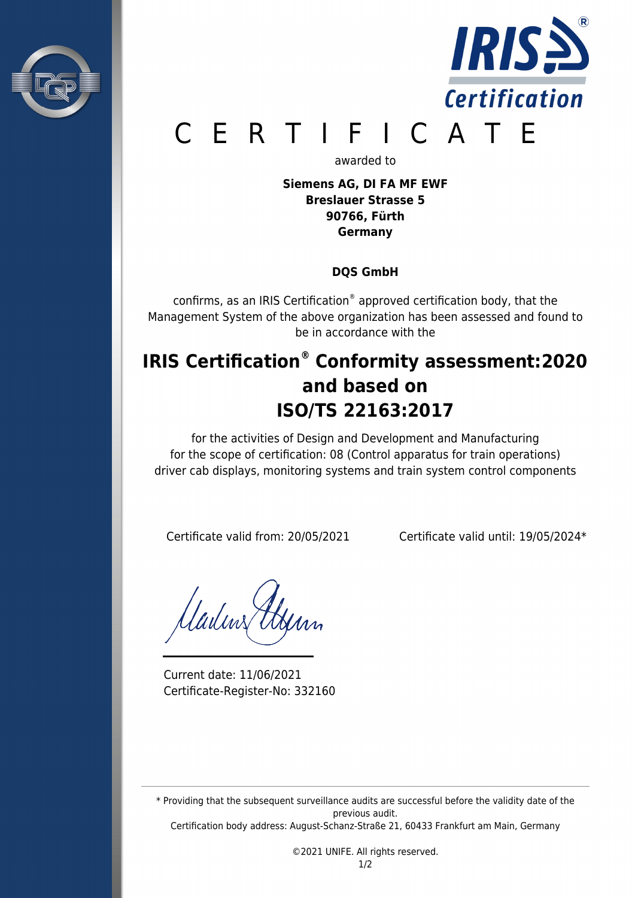



# E R T I F I C A T E

awarded to

**Siemens AG, DI FA MF EWF Breslauer Strasse 5 90766, Fürth Germany**

### **DQS GmbH**

confirms, as an IRIS Certification® approved certification body, that the Management System of the above organization has been assessed and found to be in accordance with the

## **IRIS Certification® Conformity assessment:2020 and based on ISO/TS 22163:2017**

for the activities of Design and Development and Manufacturing for the scope of certification: 08 (Control apparatus for train operations) driver cab displays, monitoring systems and train system control components

Certificate valid from: 20/05/2021 Certificate valid until: 19/05/2024\*

Madins A

Current date: 11/06/2021 Certificate-Register-No: 332160

\* Providing that the subsequent surveillance audits are successful before the validity date of the previous audit.

Certification body address: August-Schanz-Straße 21, 60433 Frankfurt am Main, Germany

©2021 UNIFE. All rights reserved.